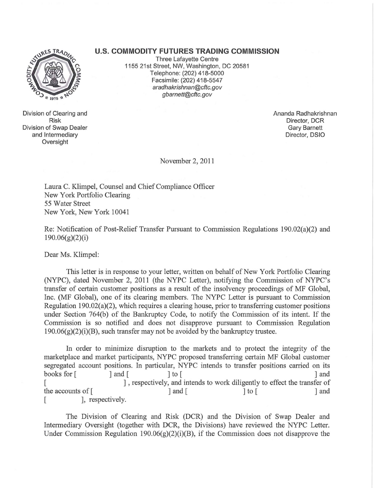## **U.S. COMMODITY FUTURES TRADING COMMISSION**



Division of Clearing and Risk Division of Swap Dealer and Intermediary Oversight

Three Lafayette Centre 1155 21st Street, NW, Washington, DC 20581 Telephone: (202) 418-5000 Facsimile: (202) 418-5547 aradhakrishnan@cftc.gov gbarnett@cftc.gov

> Ananda Radhakrishnan Director, DCR Gary Barnett Director, DSIO

November 2, 2011

Laura C. Klimpel, Counsel and Chief Compliance Officer New York Portfolio Clearing 55 Water Street New York, New York 10041

Re: Notification of Post-Relief Transfer Pursuant to Commission Regulations 190.02(a)(2) and 190.06(g)(2)(i)

Dear Ms. Klimpel:

This letter is in response to your letter, written on behalf of New York Portfolio Clearing (NYPC), dated November 2, 2011 (the NYPC Letter), notifying the Commission of NYPC's transfer of certain customer positions as a result of the insolvency proceedings of MF Global, Inc. (MF Global), one of its clearing members. The NYPC Letter is pursuant to Commission Regulation 190.02(a)(2), which requires a clearing house, prior to transferring customer positions under Section 764(b) of the Bankruptcy Code, to notify the Commission of its intent. If the Commission is so notified and does not disapprove pursuant to Commission Regulation  $190.06(g)(2)(i)(B)$ , such transfer may not be avoided by the bankruptcy trustee.

In order to minimize disruption to the markets and to protect the integrity of the marketplace and market participants, NYPC proposed transferring certain MF Global customer segregated account positions. In particular, NYPC intends to transfer positions carried on its books for [ ] and [ ] to [ ] constants in and and  $\begin{bmatrix} 1 & 0 \\ 0 & 1 \end{bmatrix}$  and  $\begin{bmatrix} 1 & 0 \\ 0 & 1 \end{bmatrix}$  and  $\begin{bmatrix} 1 & 0 \\ 0 & 1 \end{bmatrix}$  and  $\begin{bmatrix} 1 & 0 \\ 0 & 1 \end{bmatrix}$  and  $\begin{bmatrix} 1 & 0 \\ 0 & 1 \end{bmatrix}$  and  $\begin{bmatrix} 1 & 0 \\ 0 & 1 \end{b$ ], respectively, and intends to work diligently to effect the transfer of the accounts of [ ] and [ ] and [ ] to [ ] and ] and ], respectively.

The Division of Clearing and Risk (DCR) and the Division of Swap Dealer and Intermediary Oversight (together with DCR, the Divisions) have reviewed the NYPC Letter. Under Commission Regulation 190.06 $(g)(2)(i)(B)$ , if the Commission does not disapprove the